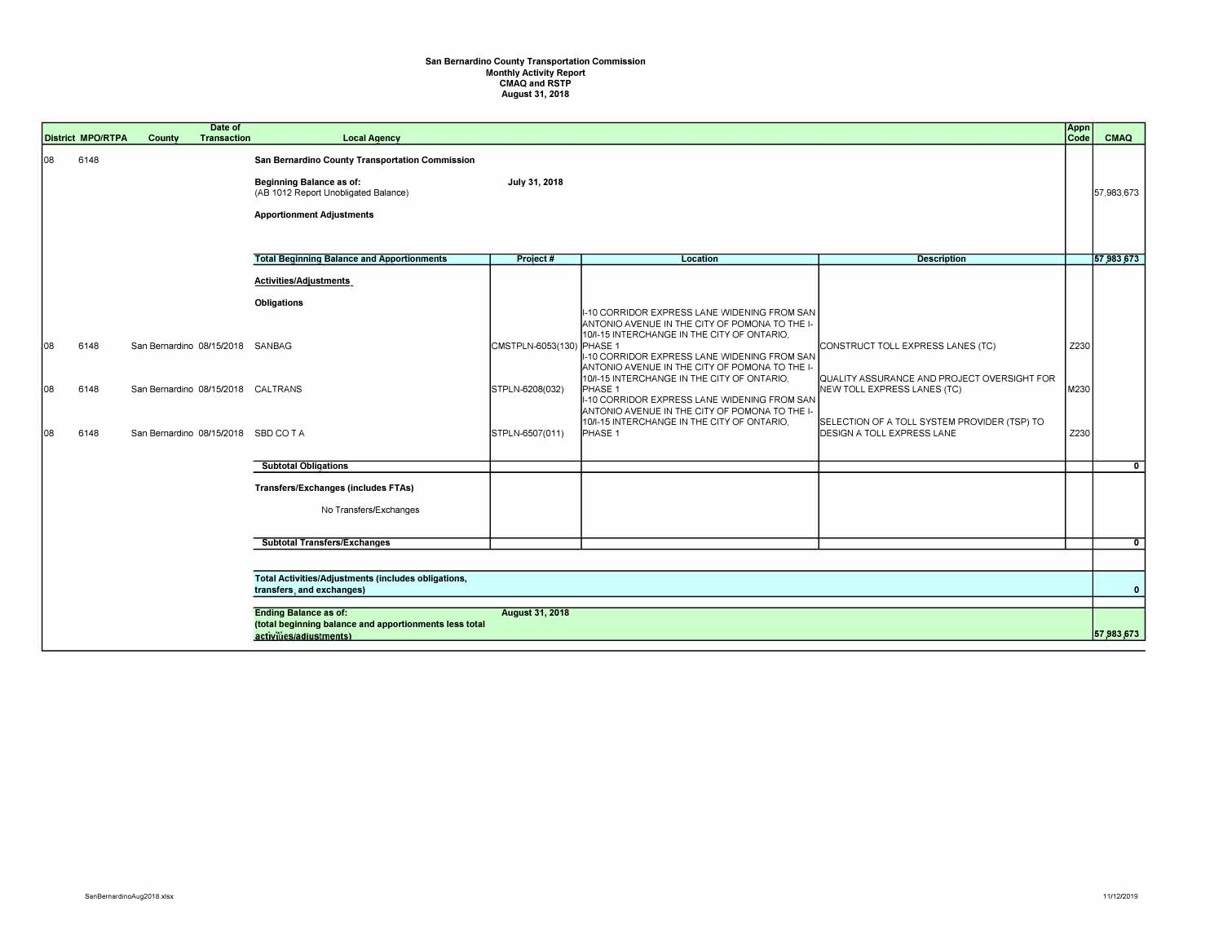## **San Bernardino County Transportation Commission Monthly Activity Report CMAQ and RSTP August 31, 2018**

|              |    | <b>District MPO/RTPA</b>                                                                                                                    | Date of<br><b>Transaction</b><br>County | <b>Local Agency</b>                                                                                                                                            |                           |                                                                                                                                                                                                         |                                                                                                                            | <b>Appn</b><br>Codel | <b>CMAQ</b>  |
|--------------|----|---------------------------------------------------------------------------------------------------------------------------------------------|-----------------------------------------|----------------------------------------------------------------------------------------------------------------------------------------------------------------|---------------------------|---------------------------------------------------------------------------------------------------------------------------------------------------------------------------------------------------------|----------------------------------------------------------------------------------------------------------------------------|----------------------|--------------|
|              | 08 | 6148                                                                                                                                        |                                         | San Bernardino County Transportation Commission<br><b>Beginning Balance as of:</b><br>(AB 1012 Report Unobligated Balance)<br><b>Apportionment Adjustments</b> | July 31, 2018             |                                                                                                                                                                                                         |                                                                                                                            |                      | 57,983,673   |
|              |    |                                                                                                                                             |                                         | <b>Total Beginning Balance and Apportionments</b>                                                                                                              | Project#                  | <b>Location</b>                                                                                                                                                                                         | <b>Description</b>                                                                                                         |                      | 57,983,673   |
|              |    |                                                                                                                                             |                                         | Activities/Adjustments<br><b>Obligations</b>                                                                                                                   |                           | I-10 CORRIDOR EXPRESS LANE WIDENING FROM SAN<br>ANTONIO AVENUE IN THE CITY OF POMONA TO THE I-<br>10/I-15 INTERCHANGE IN THE CITY OF ONTARIO.                                                           |                                                                                                                            |                      |              |
| 108          |    | 6148                                                                                                                                        | San Bernardino 08/15/2018 SANBAG        |                                                                                                                                                                | CMSTPLN-6053(130) PHASE 1 | 1-10 CORRIDOR EXPRESS LANE WIDENING FROM SAN<br>ANTONIO AVENUE IN THE CITY OF POMONA TO THE I-                                                                                                          | CONSTRUCT TOLL EXPRESS LANES (TC)                                                                                          | Z230                 |              |
| $ 08\rangle$ |    | 6148                                                                                                                                        | San Bernardino 08/15/2018 CALTRANS      |                                                                                                                                                                | STPLN-6208(032)           | 10/I-15 INTERCHANGE IN THE CITY OF ONTARIO.<br>PHASE 1<br>1-10 CORRIDOR EXPRESS LANE WIDENING FROM SAN<br>ANTONIO AVENUE IN THE CITY OF POMONA TO THE I-<br>10/I-15 INTERCHANGE IN THE CITY OF ONTARIO. | QUALITY ASSURANCE AND PROJECT OVERSIGHT FOR<br>NEW TOLL EXPRESS LANES (TC)<br>SELECTION OF A TOLL SYSTEM PROVIDER (TSP) TO | M230                 |              |
| 08           |    | 6148                                                                                                                                        | San Bernardino 08/15/2018 SBD CO T A    |                                                                                                                                                                | STPLN-6507(011)           | <b>PHASE 1</b>                                                                                                                                                                                          | <b>DESIGN A TOLL EXPRESS LANE</b>                                                                                          | Z230                 |              |
|              |    |                                                                                                                                             |                                         | <b>Subtotal Obligations</b>                                                                                                                                    |                           |                                                                                                                                                                                                         |                                                                                                                            |                      | $\mathbf{0}$ |
|              |    |                                                                                                                                             |                                         | <b>Transfers/Exchanges (includes FTAs)</b><br>No Transfers/Exchanges                                                                                           |                           |                                                                                                                                                                                                         |                                                                                                                            |                      |              |
|              |    |                                                                                                                                             |                                         | <b>Subtotal Transfers/Exchanges</b>                                                                                                                            |                           |                                                                                                                                                                                                         |                                                                                                                            |                      | $\mathbf{0}$ |
|              |    |                                                                                                                                             |                                         |                                                                                                                                                                |                           |                                                                                                                                                                                                         |                                                                                                                            |                      |              |
|              |    | Total Activities/Adjustments (includes obligations,<br>transfers, and exchanges)                                                            |                                         |                                                                                                                                                                |                           |                                                                                                                                                                                                         |                                                                                                                            |                      | $\mathbf{0}$ |
|              |    | <b>Ending Balance as of:</b><br><b>August 31, 2018</b><br>(total beginning balance and apportionments less total<br>activities/adiustments) |                                         |                                                                                                                                                                |                           |                                                                                                                                                                                                         |                                                                                                                            |                      | 57,983,673   |